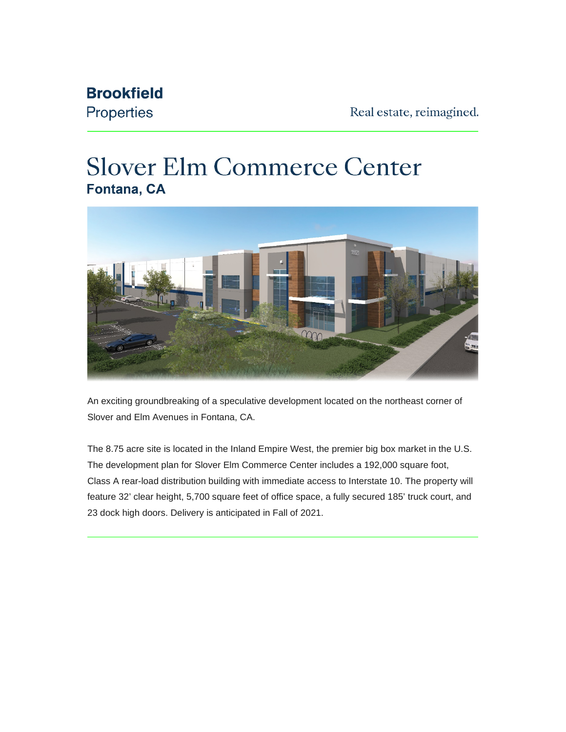## **Brookfield**

Properties

## **Slover Elm Commerce Center** Fontana, CA



An exciting groundbreaking of a speculative development located on the northeast corner of Slover and Elm Avenues in Fontana, CA.

The 8.75 acre site is located in the Inland Empire West, the premier big box market in the U.S. The development plan for Slover Elm Commerce Center includes a 192,000 square foot, Class A rear-load distribution building with immediate access to Interstate 10. The property will feature 32' clear height, 5,700 square feet of office space, a fully secured 185' truck court, and 23 dock high doors. Delivery is anticipated in Fall of 2021.